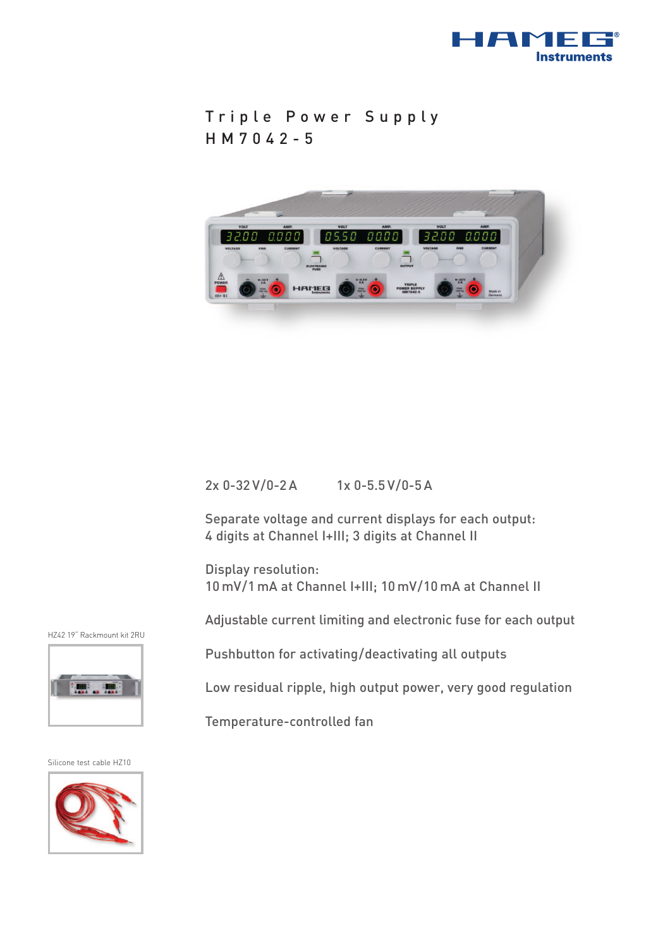

```
Triple Power Supply
HM7042-5
```


## 2x 0-32 V/0-2 A 1x 0-5.5 V/0-5 A

Separate voltage and current displays for each output: 4 digits at Channel I+III; 3 digits at Channel II

Display resolution: 10 mV/1 mA at Channel I+III; 10 mV/10 mA at Channel II

Adjustable current limiting and electronic fuse for each output

Pushbutton for activating/deactivating all outputs

Low residual ripple, high output power, very good regulation

Temperature-controlled fan

Silicone test cable HZ10

HZ42 19" Rackmount kit 2RU

**MA ... FIREE**